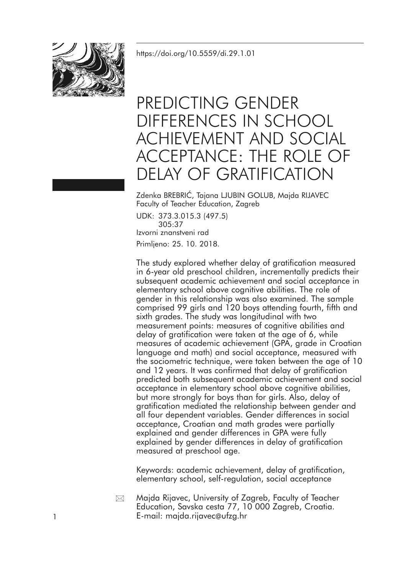<https://doi.org/10.5559/di.29.1.01>



# PREDICTING GENDER DIFFERENCES IN SCHOOL ACHIEVEMENT AND SOCIAL ACCEPTANCE: THE ROLE OF DELAY OF GRATIFICATION

Zdenka BREBRIĆ, Tajana LJUBIN GOLUB, Majda RIJAVEC Faculty of Teacher Education, Zagreb

UDK: 373.3.015.3 (497.5) 305:37 Izvorni znanstveni rad Primljeno: 25. 10. 2018.

The study explored whether delay of gratification measured in 6-year old preschool children, incrementally predicts their subsequent academic achievement and social acceptance in elementary school above cognitive abilities. The role of gender in this relationship was also examined. The sample comprised 99 girls and 120 boys attending fourth, fifth and sixth grades. The study was longitudinal with two measurement points: measures of cognitive abilities and delay of gratification were taken at the age of 6, while measures of academic achievement (GPA, grade in Croatian language and math) and social acceptance, measured with the sociometric technique, were taken between the age of 10 and 12 years. It was confirmed that delay of gratification predicted both subsequent academic achievement and social acceptance in elementary school above cognitive abilities, but more strongly for boys than for girls. Also, delay of gratification mediated the relationship between gender and all four dependent variables. Gender differences in social acceptance, Croatian and math grades were partially explained and gender differences in GPA were fully explained by gender differences in delay of gratification measured at preschool age.

Keywords: academic achievement, delay of gratification, elementary school, self-regulation, social acceptance

Majda Rijavec, University of Zagreb, Faculty of Teacher Education, Savska cesta 77, 10 000 Zagreb, Croatia. 1 E-mail: majda.rijavec@ufzg.hr  $\boxtimes$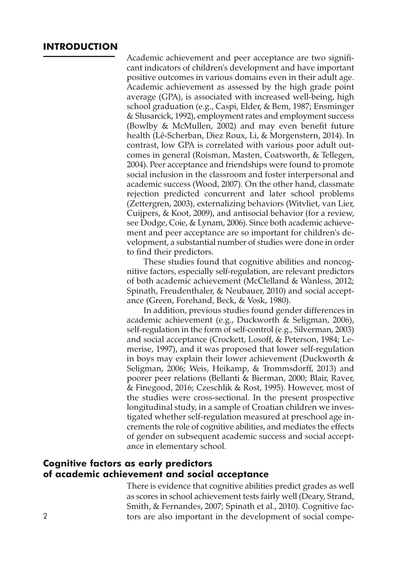## **INTRODUCTION**

Academic achievement and peer acceptance are two significant indicators of children's development and have important positive outcomes in various domains even in their adult age. Academic achievement as assessed by the high grade point average (GPA), is associated with increased well-being, high school graduation (e.g., Caspi, Elder, & Bem, 1987; Ensminger & Slusarcick, 1992), employment rates and employment success (Bowlby & McMullen, 2002) and may even benefit future health (Lê-Scherban, Diez Roux, Li, & Morgenstern, 2014). In contrast, low GPA is correlated with various poor adult outcomes in general (Roisman, Masten, Coatsworth, & Tellegen, 2004). Peer acceptance and friendships were found to promote social inclusion in the classroom and foster interpersonal and academic success (Wood, 2007). On the other hand, classmate rejection predicted concurrent and later school problems (Zettergren, 2003), externalizing behaviors (Witvliet, van Lier, Cuijpers, & Koot, 2009), and antisocial behavior (for a review, see Dodge, Coie, & Lynam, 2006). Since both academic achievement and peer acceptance are so important for children's development, a substantial number of studies were done in order to find their predictors.

These studies found that cognitive abilities and noncognitive factors, especially self-regulation, are relevant predictors of both academic achievement (McClelland & Wanless, 2012; Spinath, Freudenthaler, & Neubauer, 2010) and social acceptance (Green, Forehand, Beck, & Vosk, 1980).

In addition, previous studies found gender differences in academic achievement (e.g., Duckworth & Seligman, 2006), self-regulation in the form of self-control (e.g., Silverman, 2003) and social acceptance (Crockett, Losoff, & Peterson, 1984; Lemerise, 1997), and it was proposed that lower self-regulation in boys may explain their lower achievement (Duckworth & Seligman, 2006; Weis, Heikamp, & Trommsdorff, 2013) and poorer peer relations (Bellanti & Bierman, 2000; Blair, Raver, & Finegood, 2016; Czeschlik & Rost, 1995). However, most of the studies were cross-sectional. In the present prospective longitudinal study, in a sample of Croatian children we investigated whether self-regulation measured at preschool age increments the role of cognitive abilities, and mediates the effects of gender on subsequent academic success and social acceptance in elementary school.

## **Cognitive factors as early predictors of academic achievement and social acceptance**

There is evidence that cognitive abilities predict grades as well as scores in school achievement tests fairly well (Deary, Strand, Smith, & Fernandes, 2007; Spinath et al., 2010). Cognitive fac-2 tors are also important in the development of social compe-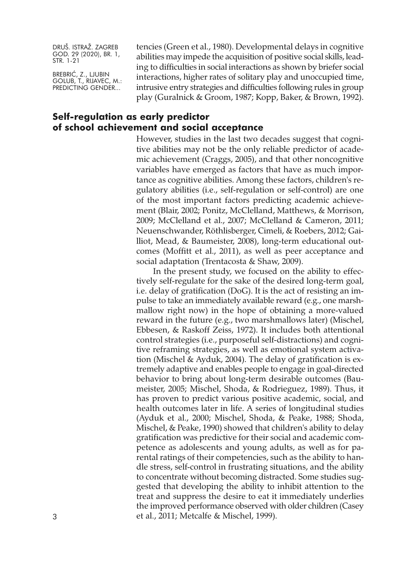BREBRIĆ, Z., LJUBIN GOLUB, T., RIJAVEC, M.: PREDICTING GENDER...

tencies (Green et al., 1980). Developmental delays in cognitive abilities may impede the acquisition of positive social skills, leading to difficulties in social interactions as shown by briefer social interactions, higher rates of solitary play and unoccupied time, intrusive entry strategies and difficulties following rules in group play (Guralnick & Groom, 1987; Kopp, Baker, & Brown, 1992).

## **Self-regulation as early predictor of school achievement and social acceptance**

However, studies in the last two decades suggest that cognitive abilities may not be the only reliable predictor of academic achievement (Craggs, 2005), and that other noncognitive variables have emerged as factors that have as much importance as cognitive abilities. Among these factors, children's regulatory abilities (i.e., self-regulation or self-control) are one of the most important factors predicting academic achievement (Blair, 2002; Ponitz, McClelland, Matthews, & Morrison, 2009; McClelland et al., 2007; McClelland & Cameron, 2011; Neuenschwander, Röthlisberger, Cimeli, & Roebers, 2012; Gailliot, Mead, & Baumeister, 2008), long-term educational outcomes (Moffitt et al., 2011), as well as peer acceptance and social adaptation (Trentacosta & Shaw, 2009).

In the present study, we focused on the ability to effectively self-regulate for the sake of the desired long-term goal, i.e. delay of gratification (DoG). It is the act of resisting an impulse to take an immediately available reward (e.g., one marshmallow right now) in the hope of obtaining a more-valued reward in the future (e.g., two marshmallows later) (Mischel, Ebbesen, & Raskoff Zeiss, 1972). It includes both attentional control strategies (i.e., purposeful self-distractions) and cognitive reframing strategies, as well as emotional system activation (Mischel & Ayduk, 2004). The delay of gratification is extremely adaptive and enables people to engage in goal-directed behavior to bring about long-term desirable outcomes (Baumeister, 2005; Mischel, Shoda, & Rodrieguez, 1989). Thus, it has proven to predict various positive academic, social, and health outcomes later in life. A series of longitudinal studies (Ayduk et al., 2000; Mischel, Shoda, & Peake, 1988; Shoda, Mischel, & Peake, 1990) showed that children's ability to delay gratification was predictive for their social and academic competence as adolescents and young adults, as well as for parental ratings of their competencies, such as the ability to handle stress, self-control in frustrating situations, and the ability to concentrate without becoming distracted. Some studies suggested that developing the ability to inhibit attention to the treat and suppress the desire to eat it immediately underlies the improved performance observed with older children (Casey 3 et al., 2011; Metcalfe & Mischel, 1999).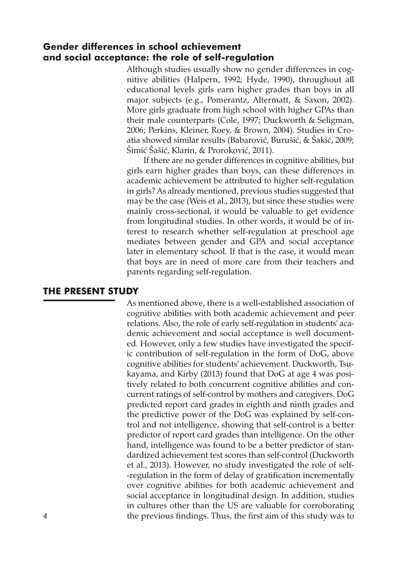## **Gender differences in school achievement and social acceptance: the role of self-regulation**

Although studies usually show no gender differences in cognitive abilities (Halpern, 1992; Hyde, 1990), throughout all educational levels girls earn higher grades than boys in all major subjects (e.g., Pomerantz, Altermatt, & Saxon, 2002). More girls graduate from high school with higher GPAs than their male counterparts (Cole, 1997; Duckworth & Seligman, 2006; Perkins, Kleiner, Roey, & Brown, 2004). Studies in Croatia showed similar results (Babarović, Burušić, & Šakić, 2009; Šimić Šašić, Klarin, & Proroković, 2011).

If there are no gender differences in cognitive abilities, but girls earn higher grades than boys, can these differences in academic achievement be attributed to higher self-regulation in girls? As already mentioned, previous studies suggested that may be the case (Weis et al., 2013), but since these studies were mainly cross-sectional, it would be valuable to get evidence from longitudinal studies. In other words, it would be of interest to research whether self-regulation at preschool age mediates between gender and GPA and social acceptance later in elementary school. If that is the case, it would mean that boys are in need of more care from their teachers and parents regarding self-regulation.

## **THE PRESENT STUDY**

As mentioned above, there is a well-established association of cognitive abilities with both academic achievement and peer relations. Also, the role of early self-regulation in students' academic achievement and social acceptance is well documented. However, only a few studies have investigated the specific contribution of self-regulation in the form of DoG, above cognitive abilities for students' achievement. Duckworth, Tsukayama, and Kirby (2013) found that DoG at age 4 was positively related to both concurrent cognitive abilities and concurrent ratings of self-control by mothers and caregivers. DoG predicted report card grades in eighth and ninth grades and the predictive power of the DoG was explained by self-control and not intelligence, showing that self-control is a better predictor of report card grades than intelligence. On the other hand, intelligence was found to be a better predictor of standardized achievement test scores than self-control (Duckworth et al., 2013). However, no study investigated the role of self- -regulation in the form of delay of gratification incrementally over cognitive abilities for both academic achievement and social acceptance in longitudinal design. In addition, studies in cultures other than the US are valuable for corroborating 4 the previous findings. Thus, the first aim of this study was to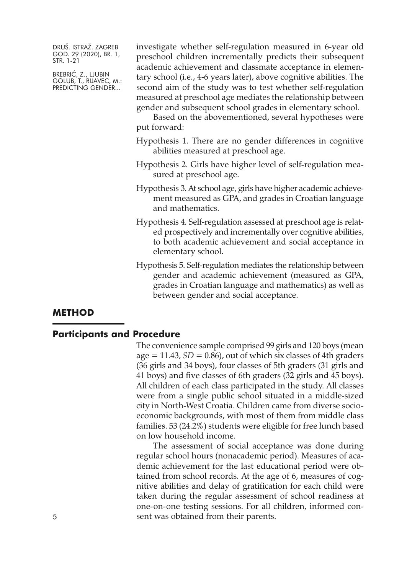BREBRIĆ, Z., LJUBIN GOLUB, T., RIJAVEC, M.: PREDICTING GENDER...

investigate whether self-regulation measured in 6-year old preschool children incrementally predicts their subsequent academic achievement and classmate acceptance in elementary school (i.e., 4-6 years later), above cognitive abilities. The second aim of the study was to test whether self-regulation measured at preschool age mediates the relationship between gender and subsequent school grades in elementary school.

Based on the abovementioned, several hypotheses were put forward:

- Hypothesis 1. There are no gender differences in cognitive abilities measured at preschool age.
- Hypothesis 2. Girls have higher level of self-regulation measured at preschool age.
- Hypothesis 3.At school age, girls have higher academic achievement measured as GPA, and grades in Croatian language and mathematics.
- Hypothesis 4. Self-regulation assessed at preschool age is related prospectively and incrementally over cognitive abilities, to both academic achievement and social acceptance in elementary school.
- Hypothesis 5. Self-regulation mediates the relationship between gender and academic achievement (measured as GPA, grades in Croatian language and mathematics) as well as between gender and social acceptance.

## **METHOD**

## **Participants and Procedure**

The convenience sample comprised 99 girls and 120 boys (mean  $age = 11.43, SD = 0.86$ , out of which six classes of 4th graders (36 girls and 34 boys), four classes of 5th graders (31 girls and 41 boys) and five classes of 6th graders (32 girls and 45 boys). All children of each class participated in the study. All classes were from a single public school situated in a middle-sized city in North-West Croatia. Children came from diverse socioeconomic backgrounds, with most of them from middle class families. 53 (24.2%) students were eligible for free lunch based on low household income.

The assessment of social acceptance was done during regular school hours (nonacademic period). Measures of academic achievement for the last educational period were obtained from school records. At the age of 6, measures of cognitive abilities and delay of gratification for each child were taken during the regular assessment of school readiness at one-on-one testing sessions. For all children, informed con-5 sent was obtained from their parents.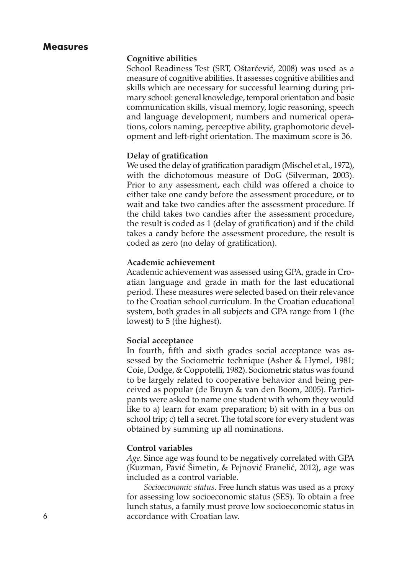## **Measures**

#### **Cognitive abilities**

School Readiness Test (SRT, Oštarčević, 2008) was used as a measure of cognitive abilities. It assesses cognitive abilities and skills which are necessary for successful learning during primary school: general knowledge, temporal orientation and basic communication skills, visual memory, logic reasoning, speech and language development, numbers and numerical operations, colors naming, perceptive ability, graphomotoric development and left-right orientation. The maximum score is 36.

#### **Delay of gratification**

We used the delay of gratification paradigm (Mischel et al., 1972), with the dichotomous measure of DoG (Silverman, 2003). Prior to any assessment, each child was offered a choice to either take one candy before the assessment procedure, or to wait and take two candies after the assessment procedure. If the child takes two candies after the assessment procedure, the result is coded as 1 (delay of gratification) and if the child takes a candy before the assessment procedure, the result is coded as zero (no delay of gratification).

### **Academic achievement**

Academic achievement was assessed using GPA, grade in Croatian language and grade in math for the last educational period. These measures were selected based on their relevance to the Croatian school curriculum. In the Croatian educational system, both grades in all subjects and GPA range from 1 (the lowest) to 5 (the highest).

## **Social acceptance**

In fourth, fifth and sixth grades social acceptance was assessed by the Sociometric technique (Asher & Hymel, 1981; Coie, Dodge, & Coppotelli, 1982). Sociometric status was found to be largely related to cooperative behavior and being perceived as popular (de Bruyn & van den Boom, 2005). Participants were asked to name one student with whom they would like to a) learn for exam preparation; b) sit with in a bus on school trip; c) tell a secret. The total score for every student was obtained by summing up all nominations.

#### **Control variables**

*Age*. Since age was found to be negatively correlated with GPA (Kuzman, Pavić Šimetin, & Pejnović Franelić, 2012), age was included as a control variable.

*Socioeconomic status*. Free lunch status was used as a proxy for assessing low socioeconomic status (SES). To obtain a free lunch status, a family must prove low socioeconomic status in 6 accordance with Croatian law.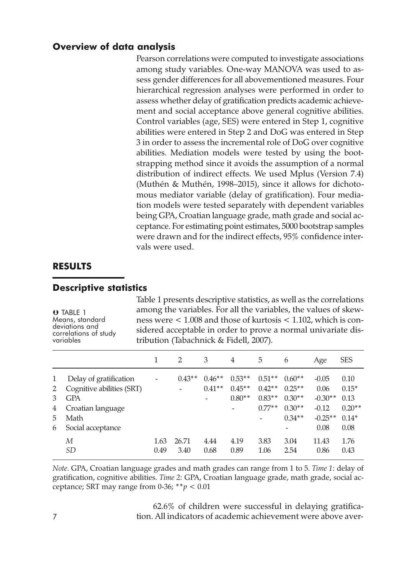## **Overview of data analysis**

Pearson correlations were computed to investigate associations among study variables. One-way MANOVA was used to assess gender differences for all abovementioned measures. Four hierarchical regression analyses were performed in order to assess whether delay of gratification predicts academic achievement and social acceptance above general cognitive abilities. Control variables (age, SES) were entered in Step 1, cognitive abilities were entered in Step 2 and DoG was entered in Step 3 in order to assess the incremental role of DoG over cognitive abilities. Mediation models were tested by using the bootstrapping method since it avoids the assumption of a normal distribution of indirect effects. We used Mplus (Version 7.4) (Muthén & Muthén, 1998–2015), since it allows for dichotomous mediator variable (delay of gratification). Four mediation models were tested separately with dependent variables being GPA, Croatian language grade, math grade and social acceptance. For estimating point estimates, 5000 bootstrap samples were drawn and for the indirect effects, 95% confidence intervals were used.

## **RESULTS**

## **Descriptive statistics**

 TABLE 1 Means, standard<br>deviations and correlations of study<br>variables Table 1 presents descriptive statistics, as well as the correlations among the variables. For all the variables, the values of skewness were < 1.008 and those of kurtosis < 1.102, which is considered acceptable in order to prove a normal univariate distribution (Tabachnick & Fidell, 2007).

|        |                                                     |              | 2             | 3                    | 4                    | 5                    | 6                    | Age             | <b>SES</b>      |
|--------|-----------------------------------------------------|--------------|---------------|----------------------|----------------------|----------------------|----------------------|-----------------|-----------------|
| 1<br>2 | Delay of gratification<br>Cognitive abilities (SRT) |              | $0.43**$      | $0.46**$<br>$0.41**$ | $0.53**$<br>$0.45**$ | $0.51**$<br>$0.42**$ | $0.60**$<br>$0.25**$ | $-0.05$<br>0.06 | 0.10<br>$0.15*$ |
| 3      | <b>GPA</b>                                          |              |               |                      | $0.80**$             | $0.83**$             | $0.30**$             | $-0.30**$       | 0.13            |
| 4      | Croatian language                                   |              |               |                      |                      | $0.77**$             | $0.30**$             | $-0.12$         | $0.20**$        |
| 5.     | Math                                                |              |               |                      |                      |                      | $0.34**$             | $-0.25**$       | $0.14*$         |
| 6      | Social acceptance                                   |              |               |                      |                      |                      | -                    | 0.08            | 0.08            |
|        | М<br><i>SD</i>                                      | 1.63<br>0.49 | 26.71<br>3.40 | 4.44<br>0.68         | 4.19<br>0.89         | 3.83<br>1.06         | 3.04<br>2.54         | 11.43<br>0.86   | 1.76<br>0.43    |

*Note*. GPA, Croatian language grades and math grades can range from 1 to 5. *Time 1*: delay of gratification, cognitive abilities. *Time 2*: GPA, Croatian language grade, math grade, social acceptance; SRT may range from 0-36; \*\**p <* 0.01

62.6% of children were successful in delaying gratifica-7 tion. All indicators of academic achievement were above aver-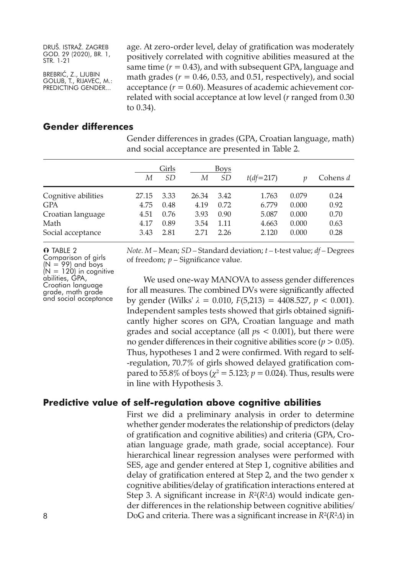BREBRIĆ, Z., LJUBIN GOLUB, T., RIJAVEC, M.: PREDICTING GENDER...

age. At zero-order level, delay of gratification was moderately positively correlated with cognitive abilities measured at the same time  $(r = 0.43)$ , and with subsequent GPA, language and math grades ( $r = 0.46$ , 0.53, and 0.51, respectively), and social acceptance  $(r = 0.60)$ . Measures of academic achievement correlated with social acceptance at low level (*r* ranged from 0.30 to 0.34).

## **Gender differences**

|                     | Girls<br>SD<br>М |      | М     | Boys<br><i>SD</i> | $t(df=217)$ |       | Cohens d |
|---------------------|------------------|------|-------|-------------------|-------------|-------|----------|
|                     |                  |      |       |                   |             |       |          |
| Cognitive abilities | 27.15            | 3.33 | 26.34 | 3.42              | 1.763       | 0.079 | 0.24     |
| GPA                 | 4.75             | 0.48 | 4.19  | 0.72              | 6.779       | 0.000 | 0.92     |
| Croatian language   | 4.51             | 0.76 | 3.93  | 0.90              | 5.087       | 0.000 | 0.70     |
| Math                | 4.17             | 0.89 | 3.54  | 1.11              | 4.663       | 0.000 | 0.63     |
| Social acceptance   | 3.43             | 2.81 | 2.71  | 2.26              | 2.120       | 0.000 | 0.28     |

Gender differences in grades (GPA, Croatian language, math) and social acceptance are presented in Table 2.

**O** TABLE 2<br>Comparison of girls Comparison of girls ( $N = 99$ ) and boys<br>  $(N = 120)$  in cognitive<br>
coldication language<br>
grade, math grade<br>
and social acceptance *Note*. *M* – Mean; *SD* – Standard deviation; *t* – t-test value; *df* – Degrees of freedom; *p* – Significance value.

We used one-way MANOVA to assess gender differences for all measures. The combined DVs were significantly affected by gender (Wilks'  $\lambda = 0.010$ ,  $F(5,213) = 4408.527$ ,  $p < 0.001$ ). Independent samples tests showed that girls obtained significantly higher scores on GPA, Croatian language and math grades and social acceptance (all *p*s < 0.001), but there were no gender differences in their cognitive abilities score (*p >* 0.05). Thus, hypotheses 1 and 2 were confirmed. With regard to self- -regulation, 70.7% of girls showed delayed gratification compared to 55.8% of boys ( $\chi^2$  = 5.123;  $p$  = 0.024). Thus, results were in line with Hypothesis 3.

## **Predictive value of self-regulation above cognitive abilities**

First we did a preliminary analysis in order to determine whether gender moderates the relationship of predictors (delay of gratification and cognitive abilities) and criteria (GPA, Croatian language grade, math grade, social acceptance). Four hierarchical linear regression analyses were performed with SES, age and gender entered at Step 1, cognitive abilities and delay of gratification entered at Step 2, and the two gender x cognitive abilities/delay of gratification interactions entered at Step 3. A significant increase in  $R^2(R^2\Delta)$  would indicate gender differences in the relationship between cognitive abilities/ 8  $\log$  and criteria. There was a significant increase in  $R^2(R^2\Delta)$  in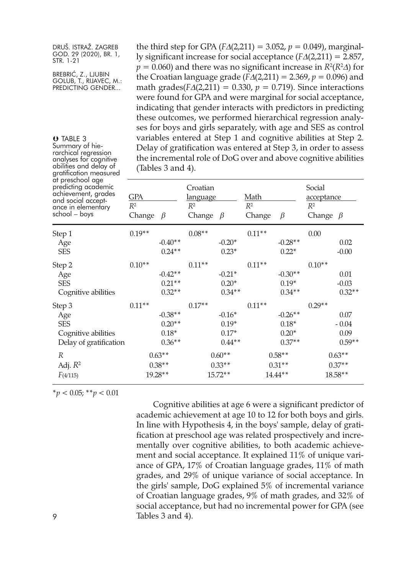BREBRIĆ, Z., LJUBIN GOLUB, T., RIJAVEC, M.: PREDICTING GENDER...

**U** TABLE 3<br>Summary of hie-

rarchical regression<br>analyses for cognitive<br>abilities and delay of

the third step for GPA ( $F\Delta(2,211) = 3.052$ ,  $p = 0.049$ ), marginally significant increase for social acceptance (*F*∆(2,211) = 2.857, *p* = 0.060) and there was no significant increase in *R*2(*R*2∆) for the Croatian language grade ( $F\Delta(2,211) = 2.369$ ,  $p = 0.096$ ) and math grades( $FA(2,211) = 0.330$ ,  $p = 0.719$ ). Since interactions were found for GPA and were marginal for social acceptance, indicating that gender interacts with predictors in predicting these outcomes, we performed hierarchical regression analyses for boys and girls separately, with age and SES as control variables entered at Step 1 and cognitive abilities at Step 2. Delay of gratification was entered at Step 3, in order to assess the incremental role of DoG over and above cognitive abilities (Tables 3 and 4).

| gratification measured                                                                                                      | $\mu$ and $\sigma$ and $\mu$ .    |           |                                                           |          |                                                    |           |                                                 |          |  |
|-----------------------------------------------------------------------------------------------------------------------------|-----------------------------------|-----------|-----------------------------------------------------------|----------|----------------------------------------------------|-----------|-------------------------------------------------|----------|--|
| at preschool age<br>predicting academic<br>achievement, grades<br>and social accept-<br>ance in elementary<br>school – boys | GPA<br>$R^2$<br>Change<br>$\beta$ |           | Croatian<br><u>language</u><br>$R^2$<br>Change<br>$\beta$ |          | <u>Math</u><br>R <sup>2</sup><br>Change<br>$\beta$ |           | Social<br>acceptance<br>$R^2$<br>Change $\beta$ |          |  |
| Step 1                                                                                                                      | $0.19**$                          |           | $0.08**$                                                  |          | $0.11**$                                           |           | 0.00                                            |          |  |
| Age                                                                                                                         |                                   | $-0.40**$ |                                                           | $-0.20*$ |                                                    | $-0.28**$ |                                                 | 0.02     |  |
| <b>SES</b>                                                                                                                  |                                   | $0.24**$  |                                                           | $0.23*$  |                                                    | $0.22*$   |                                                 | $-0.00$  |  |
| Step 2                                                                                                                      | $0.10**$                          |           | $0.11**$                                                  |          | $0.11**$                                           |           | $0.10**$                                        |          |  |
| Age                                                                                                                         |                                   | $-0.42**$ |                                                           | $-0.21*$ |                                                    | $-0.30**$ |                                                 | 0.01     |  |
| <b>SES</b>                                                                                                                  |                                   | $0.21**$  |                                                           | $0.20*$  |                                                    | $0.19*$   |                                                 | $-0.03$  |  |
| Cognitive abilities                                                                                                         |                                   | $0.32**$  |                                                           | $0.34**$ |                                                    | $0.34**$  |                                                 | $0.32**$ |  |
| Step 3                                                                                                                      | $0.11**$                          |           | $0.17**$                                                  |          | $0.11**$                                           |           | $0.29**$                                        |          |  |
| Age                                                                                                                         |                                   | $-0.38**$ |                                                           | $-0.16*$ |                                                    | $-0.26**$ |                                                 | 0.07     |  |
| <b>SES</b>                                                                                                                  |                                   | $0.20**$  |                                                           | $0.19*$  |                                                    | $0.18*$   |                                                 | $-0.04$  |  |
| Cognitive abilities                                                                                                         |                                   | $0.18*$   |                                                           | $0.17*$  |                                                    | $0.20*$   |                                                 | 0.09     |  |
| Delay of gratification                                                                                                      |                                   | $0.36**$  |                                                           | $0.44**$ |                                                    | $0.37**$  |                                                 | $0.59**$ |  |
| R                                                                                                                           | $0.63**$                          |           | $0.60**$                                                  |          | $0.58**$                                           |           | $0.63**$                                        |          |  |
| Adj. $R^2$                                                                                                                  | $0.38**$                          |           | $0.33**$                                                  |          | $0.31**$                                           |           | $0.37**$                                        |          |  |
| F(4/115)                                                                                                                    | 19.28**                           |           | $15.72**$                                                 |          | $14.44**$                                          |           | $18.58**$                                       |          |  |

\**p <* 0.05; \*\**p <* 0.01

Cognitive abilities at age 6 were a significant predictor of academic achievement at age 10 to 12 for both boys and girls. In line with Hypothesis 4, in the boys' sample, delay of gratification at preschool age was related prospectively and incrementally over cognitive abilities, to both academic achievement and social acceptance. It explained 11% of unique variance of GPA, 17% of Croatian language grades, 11% of math grades, and 29% of unique variance of social acceptance. In the girls' sample, DoG explained 5% of incremental variance of Croatian language grades, 9% of math grades, and 32% of social acceptance, but had no incremental power for GPA (see 9 Tables 3 and 4).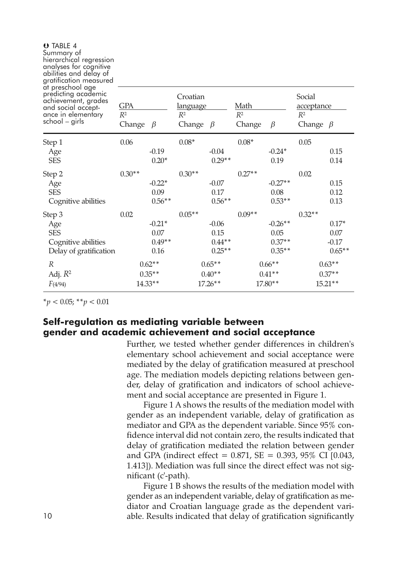| Summary of<br>hierarchical regression<br>analyses for cognitive<br>abilities and delay of<br>gratification measured          |                               |           |                                                        |           |                                |           |                                                 |           |
|------------------------------------------------------------------------------------------------------------------------------|-------------------------------|-----------|--------------------------------------------------------|-----------|--------------------------------|-----------|-------------------------------------------------|-----------|
| at preschool age<br>predicting academic<br>achievement, grades<br>and social accept-<br>ance in elementary<br>school – girls | <b>GPA</b><br>$R^2$<br>Change | $\beta$   | Croatian<br><u>language</u><br>$R^2$<br>Change $\beta$ |           | <u>Math</u><br>$R^2$<br>Change | $\beta$   | Social<br>acceptance<br>$R^2$<br>Change $\beta$ |           |
| Step 1                                                                                                                       | 0.06                          |           | $0.08*$                                                |           | $0.08*$                        |           | 0.05                                            |           |
| Age                                                                                                                          |                               | $-0.19$   |                                                        | $-0.04$   |                                | $-0.24*$  |                                                 | 0.15      |
| <b>SES</b>                                                                                                                   |                               | $0.20*$   |                                                        | $0.29**$  |                                | 0.19      |                                                 | 0.14      |
| Step 2                                                                                                                       | $0.30**$                      |           | $0.30**$                                               |           | $0.27**$                       |           | 0.02                                            |           |
| Age                                                                                                                          |                               | $-0.22*$  |                                                        | $-0.07$   |                                | $-0.27**$ |                                                 | 0.15      |
| <b>SES</b>                                                                                                                   |                               | 0.09      |                                                        | 0.17      |                                | 0.08      |                                                 | 0.12      |
| Cognitive abilities                                                                                                          |                               | $0.56**$  |                                                        | $0.56**$  |                                | $0.53**$  |                                                 | 0.13      |
| Step 3                                                                                                                       | 0.02                          |           | $0.05**$                                               |           | $0.09**$                       |           | $0.32**$                                        |           |
| Age                                                                                                                          |                               | $-0.21*$  |                                                        | $-0.06$   |                                | $-0.26**$ |                                                 | $0.17*$   |
| <b>SES</b>                                                                                                                   |                               | 0.07      |                                                        | 0.15      |                                | 0.05      |                                                 | 0.07      |
| Cognitive abilities                                                                                                          |                               | $0.49**$  |                                                        | $0.44**$  |                                | $0.37**$  |                                                 | $-0.17$   |
| Delay of gratification                                                                                                       |                               | 0.16      |                                                        | $0.25**$  |                                | $0.35**$  |                                                 | $0.65**$  |
| R                                                                                                                            |                               | $0.62**$  |                                                        | $0.65**$  |                                | $0.66**$  |                                                 | $0.63**$  |
| Adj. $R^2$                                                                                                                   |                               | $0.35**$  |                                                        | $0.40**$  | $0.41**$                       |           | $0.37**$                                        |           |
| F(4/94)                                                                                                                      |                               | $14.33**$ |                                                        | $17.26**$ |                                | 17.80**   |                                                 | $15.21**$ |

\**p <* 0.05; \*\**p <* 0.01

TABLE 4

## **Self-regulation as mediating variable between gender and academic achievement and social acceptance**

Further, we tested whether gender differences in children's elementary school achievement and social acceptance were mediated by the delay of gratification measured at preschool age. The mediation models depicting relations between gender, delay of gratification and indicators of school achievement and social acceptance are presented in Figure 1.

Figure 1 A shows the results of the mediation model with gender as an independent variable, delay of gratification as mediator and GPA as the dependent variable. Since 95% confidence interval did not contain zero, the results indicated that delay of gratification mediated the relation between gender and GPA (indirect effect =  $0.871$ , SE =  $0.393$ , 95% CI [0.043, 1.413]). Mediation was full since the direct effect was not significant (c'-path).

Figure 1 B shows the results of the mediation model with gender as an independent variable, delay of gratification as mediator and Croatian language grade as the dependent vari-10 able. Results indicated that delay of gratification significantly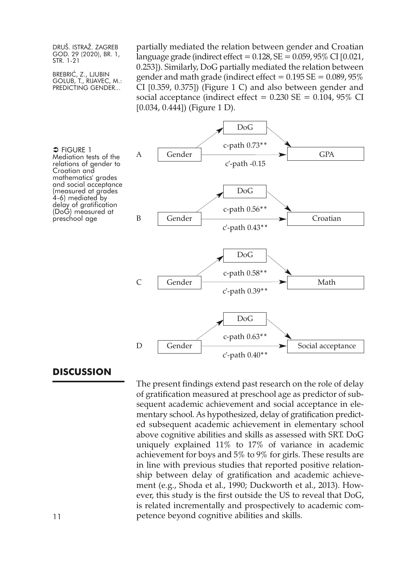BREBRIĆ, Z., LJUBIN GOLUB, T., RIJAVEC, M.: PREDICTING GENDER...

partially mediated the relation between gender and Croatian language grade (indirect effect =  $0.128$ , SE =  $0.059$ ,  $95\%$  CI  $[0.021$ , 0.253]). Similarly, DoG partially mediated the relation between gender and math grade (indirect effect  $= 0.195 SE = 0.089,95\%$ CI [0.359, 0.375]) (Figure 1 C) and also between gender and social acceptance (indirect effect =  $0.230$  SE =  $0.104$ ,  $95\%$  CI [0.034, 0.444]) (Figure 1 D).



## **DISCUSSION**

The present findings extend past research on the role of delay of gratification measured at preschool age as predictor of subsequent academic achievement and social acceptance in elementary school. As hypothesized, delay of gratification predicted subsequent academic achievement in elementary school above cognitive abilities and skills as assessed with SRT. DoG uniquely explained 11% to 17% of variance in academic achievement for boys and 5% to 9% for girls. These results are in line with previous studies that reported positive relationship between delay of gratification and academic achievement (e.g., Shoda et al., 1990; Duckworth et al., 2013). However, this study is the first outside the US to reveal that DoG, is related incrementally and prospectively to academic com-11 **petence beyond cognitive abilities and skills.**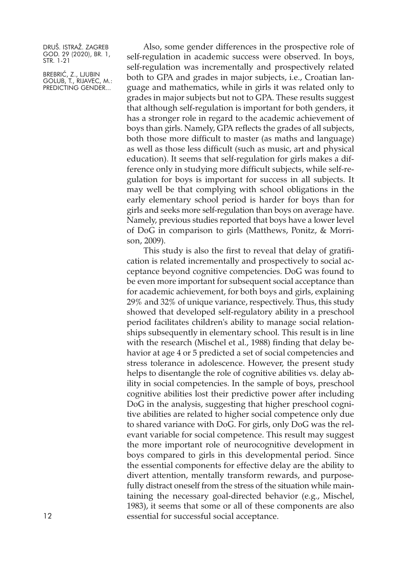BREBRIĆ, Z., LJUBIN GOLUB, T., RIJAVEC, M.: PREDICTING GENDER...

Also, some gender differences in the prospective role of self-regulation in academic success were observed. In boys, self-regulation was incrementally and prospectively related both to GPA and grades in major subjects, i.e., Croatian language and mathematics, while in girls it was related only to grades in major subjects but not to GPA. These results suggest that although self-regulation is important for both genders, it has a stronger role in regard to the academic achievement of boys than girls. Namely, GPA reflects the grades of all subjects, both those more difficult to master (as maths and language) as well as those less difficult (such as music, art and physical education). It seems that self-regulation for girls makes a difference only in studying more difficult subjects, while self-regulation for boys is important for success in all subjects. It may well be that complying with school obligations in the early elementary school period is harder for boys than for girls and seeks more self-regulation than boys on average have. Namely, previous studies reported that boys have a lower level of DoG in comparison to girls (Matthews, Ponitz, & Morrison, 2009).

This study is also the first to reveal that delay of gratification is related incrementally and prospectively to social acceptance beyond cognitive competencies. DoG was found to be even more important for subsequent social acceptance than for academic achievement, for both boys and girls, explaining 29% and 32% of unique variance, respectively. Thus, this study showed that developed self-regulatory ability in a preschool period facilitates children's ability to manage social relationships subsequently in elementary school. This result is in line with the research (Mischel et al., 1988) finding that delay behavior at age 4 or 5 predicted a set of social competencies and stress tolerance in adolescence. However, the present study helps to disentangle the role of cognitive abilities vs. delay ability in social competencies. In the sample of boys, preschool cognitive abilities lost their predictive power after including DoG in the analysis, suggesting that higher preschool cognitive abilities are related to higher social competence only due to shared variance with DoG. For girls, only DoG was the relevant variable for social competence. This result may suggest the more important role of neurocognitive development in boys compared to girls in this developmental period. Since the essential components for effective delay are the ability to divert attention, mentally transform rewards, and purposefully distract oneself from the stress of the situation while maintaining the necessary goal-directed behavior (e.g., Mischel, 1983), it seems that some or all of these components are also 12 essential for successful social acceptance.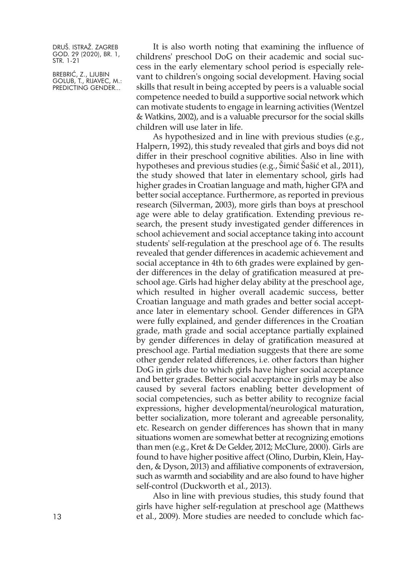BREBRIĆ, Z., LJUBIN GOLUB, T., RIJAVEC, M.: PREDICTING GENDER...

It is also worth noting that examining the influence of childrens' preschool DoG on their academic and social success in the early elementary school period is especially relevant to children's ongoing social development. Having social skills that result in being accepted by peers is a valuable social competence needed to build a supportive social network which can motivate students to engage in learning activities (Wentzel & Watkins, 2002), and is a valuable precursor for the social skills children will use later in life.

As hypothesized and in line with previous studies (e.g., Halpern, 1992), this study revealed that girls and boys did not differ in their preschool cognitive abilities. Also in line with hypotheses and previous studies (e.g., Šimić Šašić et al., 2011), the study showed that later in elementary school, girls had higher grades in Croatian language and math, higher GPA and better social acceptance. Furthermore, as reported in previous research (Silverman, 2003), more girls than boys at preschool age were able to delay gratification. Extending previous research, the present study investigated gender differences in school achievement and social acceptance taking into account students' self-regulation at the preschool age of 6. The results revealed that gender differences in academic achievement and social acceptance in 4th to 6th grades were explained by gender differences in the delay of gratification measured at preschool age. Girls had higher delay ability at the preschool age, which resulted in higher overall academic success, better Croatian language and math grades and better social acceptance later in elementary school. Gender differences in GPA were fully explained, and gender differences in the Croatian grade, math grade and social acceptance partially explained by gender differences in delay of gratification measured at preschool age. Partial mediation suggests that there are some other gender related differences, i.e. other factors than higher DoG in girls due to which girls have higher social acceptance and better grades. Better social acceptance in girls may be also caused by several factors enabling better development of social competencies, such as better ability to recognize facial expressions, higher developmental/neurological maturation, better socialization, more tolerant and agreeable personality, etc. Research on gender differences has shown that in many situations women are somewhat better at recognizing emotions than men (e.g., Kret & De Gelder, 2012; McClure, 2000). Girls are found to have higher positive affect (Olino, Durbin, Klein, Hayden, & Dyson, 2013) and affiliative components of extraversion, such as warmth and sociability and are also found to have higher self-control (Duckworth et al., 2013).

Also in line with previous studies, this study found that girls have higher self-regulation at preschool age (Matthews 13 et al., 2009). More studies are needed to conclude which fac-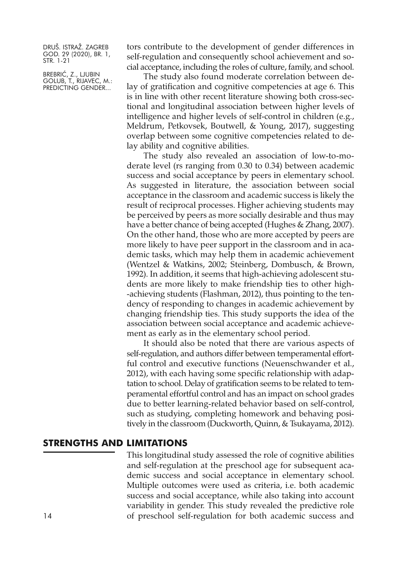BREBRIĆ, Z., LJUBIN GOLUB, T., RIJAVEC, M.: PREDICTING GENDER...

tors contribute to the development of gender differences in self-regulation and consequently school achievement and social acceptance, including the roles of culture, family, and school.

The study also found moderate correlation between delay of gratification and cognitive competencies at age 6. This is in line with other recent literature showing both cross-sectional and longitudinal association between higher levels of intelligence and higher levels of self-control in children (e.g., Meldrum, Petkovsek, Boutwell, & Young, 2017), suggesting overlap between some cognitive competencies related to delay ability and cognitive abilities.

The study also revealed an association of low-to-moderate level (rs ranging from 0.30 to 0.34) between academic success and social acceptance by peers in elementary school. As suggested in literature, the association between social acceptance in the classroom and academic success is likely the result of reciprocal processes. Higher achieving students may be perceived by peers as more socially desirable and thus may have a better chance of being accepted (Hughes & Zhang, 2007). On the other hand, those who are more accepted by peers are more likely to have peer support in the classroom and in academic tasks, which may help them in academic achievement (Wentzel & Watkins, 2002; Steinberg, Dombusch, & Brown, 1992). In addition, it seems that high-achieving adolescent students are more likely to make friendship ties to other high- -achieving students (Flashman, 2012), thus pointing to the tendency of responding to changes in academic achievement by changing friendship ties. This study supports the idea of the association between social acceptance and academic achievement as early as in the elementary school period.

It should also be noted that there are various aspects of self-regulation, and authors differ between temperamental effortful control and executive functions (Neuenschwander et al., 2012), with each having some specific relationship with adaptation to school. Delay of gratification seems to be related to temperamental effortful control and has an impact on school grades due to better learning-related behavior based on self-control, such as studying, completing homework and behaving positively in the classroom (Duckworth, Quinn, & Tsukayama, 2012).

## **STRENGTHS AND LIMITATIONS**

This longitudinal study assessed the role of cognitive abilities and self-regulation at the preschool age for subsequent academic success and social acceptance in elementary school. Multiple outcomes were used as criteria, i.e. both academic success and social acceptance, while also taking into account variability in gender. This study revealed the predictive role 14 of preschool self-regulation for both academic success and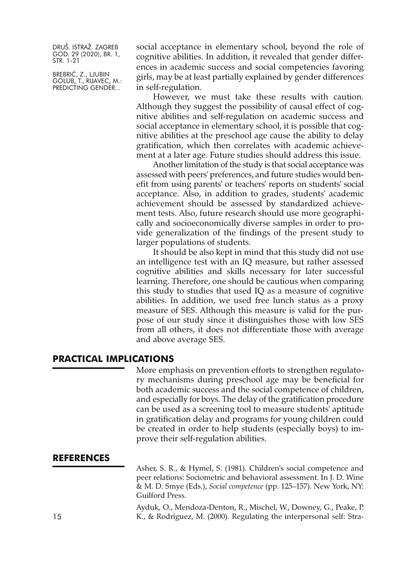BREBRIĆ, Z., LJUBIN GOLUB, T., RIJAVEC, M.: PREDICTING GENDER...

social acceptance in elementary school, beyond the role of cognitive abilities. In addition, it revealed that gender differences in academic success and social competencies favoring girls, may be at least partially explained by gender differences in self-regulation.

However, we must take these results with caution. Although they suggest the possibility of causal effect of cognitive abilities and self-regulation on academic success and social acceptance in elementary school, it is possible that cognitive abilities at the preschool age cause the ability to delay gratification, which then correlates with academic achievement at a later age. Future studies should address this issue.

Another limitation of the study is that social acceptance was assessed with peers' preferences, and future studies would benefit from using parents' or teachers' reports on students' social acceptance. Also, in addition to grades, students' academic achievement should be assessed by standardized achievement tests. Also, future research should use more geographically and socioeconomically diverse samples in order to provide generalization of the findings of the present study to larger populations of students.

It should be also kept in mind that this study did not use an intelligence test with an IQ measure, but rather assessed cognitive abilities and skills necessary for later successful learning. Therefore, one should be cautious when comparing this study to studies that used IQ as a measure of cognitive abilities. In addition, we used free lunch status as a proxy measure of SES. Although this measure is valid for the purpose of our study since it distinguishes those with low SES from all others, it does not differentiate those with average and above average SES.

## **PRACTICAL IMPLICATIONS**

More emphasis on prevention efforts to strengthen regulatory mechanisms during preschool age may be beneficial for both academic success and the social competence of children, and especially for boys. The delay of the gratification procedure can be used as a screening tool to measure students' aptitude in gratification delay and programs for young children could be created in order to help students (especially boys) to improve their self-regulation abilities.

## **REFERENCES**

Asher, S. R., & Hymel, S. (1981). Children's social competence and peer relations: Sociometric and behavioral assessment. In J. D. Wine & M. D. Smye (Eds.), *Social competence* (pp. 125–157). New York, NY: Guilford Press.

Ayduk, O., Mendoza-Denton, R., Mischel, W., Downey, G., Peake, P. 15 K., & Rodriguez, M. (2000). Regulating the interpersonal self: Stra-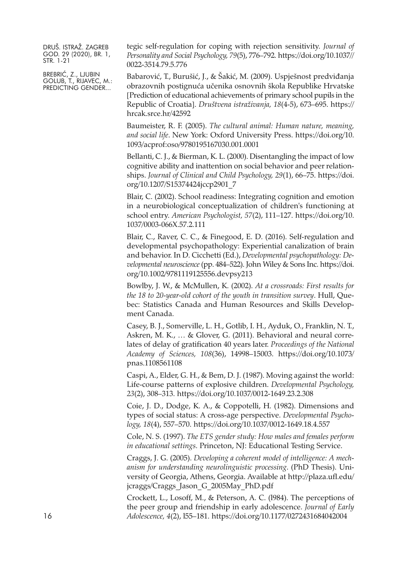BREBRIĆ, Z., LJUBIN GOLUB, T., RIJAVEC, M.: PREDICTING GENDER...

tegic self-regulation for coping with rejection sensitivity. *Journal of Personality and Social Psychology, 79*(5), 776–792. [https://doi.org/10.1037//](https://doi.org/10.1037//0022-3514.79.5.776) [0022-3514.79.5.776](https://doi.org/10.1037//0022-3514.79.5.776)

Babarović, T., Burušić, J., & Šakić, M. (2009). Uspješnost predviđanja obrazovnih postignuća učenika osnovnih škola Republike Hrvatske [Prediction of educational achievements of primary school pupils in the Republic of Croatia]. *Društvena istraživanja, 18*(4-5), 673–695. [https://](https://hrcak.srce.hr/42592) [hrcak.srce.hr/42592](https://hrcak.srce.hr/42592)

Baumeister, R. F. (2005). *The cultural animal: Human nature, meaning, and social life*. New York: Oxford University Press. [https://doi.org/10.](https://doi.org/10.1093/acprof:oso/9780195167030.001.0001) [1093/acprof:oso/9780195167030.001.0001](https://doi.org/10.1093/acprof:oso/9780195167030.001.0001)

Bellanti, C. J., & Bierman, K. L. (2000). Disentangling the impact of low cognitive ability and inattention on social behavior and peer relationships. *Journal of Clinical and Child Psychology, 29*(1), 66–75. [https://doi.](https://doi.org/10.1207/S15374424jccp2901_7) [org/10.1207/S15374424jccp2901\\_7](https://doi.org/10.1207/S15374424jccp2901_7)

Blair, C. (2002). School readiness: Integrating cognition and emotion in a neurobiological conceptualization of children's functioning at school entry. *American Psychologist, 57*(2), 111–127. [https://doi.org/10.](https://doi.org/10.1037/0003-066X.57.2.111) [1037/0003-066X.57.2.111](https://doi.org/10.1037/0003-066X.57.2.111)

Blair, C., Raver, C. C., & Finegood, E. D. (2016). Self-regulation and developmental psychopathology: Experiential canalization of brain and behavior. In D. Cicchetti (Ed.), *Developmental psychopathology: Developmental neuroscience* (pp. 484–522). John Wiley & Sons Inc. [https://doi.](https://doi.org/10.1002/9781119125556.devpsy213) [org/10.1002/9781119125556.devpsy213](https://doi.org/10.1002/9781119125556.devpsy213)

Bowlby, J. W., & McMullen, K. (2002). *At a crossroads: First results for the 18 to 20-year-old cohort of the youth in transition survey*. Hull, Quebec: Statistics Canada and Human Resources and Skills Development Canada.

Casey, B. J., Somerville, L. H., Gotlib, I. H., Ayduk, O., Franklin, N. T., Askren, M. K., … & Glover, G. (2011). Behavioral and neural correlates of delay of gratification 40 years later. *Proceedings of the National Academy of Sciences, 108*(36), 14998–15003. [https://doi.org/10.1073/](https://doi.org/10.1073/pnas.1108561108) [pnas.1108561108](https://doi.org/10.1073/pnas.1108561108)

Caspi, A., Elder, G. H., & Bem, D. J. (1987). Moving against the world: Life-course patterns of explosive children. *Developmental Psychology, 23*(2), 308–313. <https://doi.org/10.1037/0012-1649.23.2.308>

Coie, J. D., Dodge, K. A., & Coppotelli, H. (1982). Dimensions and types of social status: A cross-age perspective. *Developmental Psychology, 18*(4), 557–570. <https://doi.org/10.1037/0012-1649.18.4.557>

Cole, N. S. (1997). *The ETS gender study: How males and females perform in educational settings*. Princeton, NJ: Educational Testing Service.

Craggs, J. G. (2005). *Developing a coherent model of intelligence: A mechanism for understanding neurolinguistic processing*. (PhD Thesis). University of Georgia, Athens, Georgia. Available at [http://plaza.ufl.edu/](http://plaza.ufl.edu/jcraggs/Craggs_Jason_G_2005May_PhD.pdf) [jcraggs/Craggs\\_Jason\\_G\\_2005May\\_PhD.pdf](http://plaza.ufl.edu/jcraggs/Craggs_Jason_G_2005May_PhD.pdf)

Crockett, L., Losoff, M., & Peterson, A. C. (l984). The perceptions of the peer group and friendship in early adolescence. *Journal of Early* 16 *Adolescence, 4*(2), l55–181. <https://doi.org/10.1177/0272431684042004>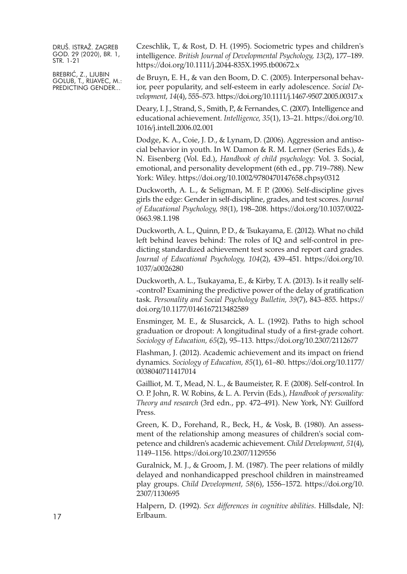BREBRIĆ, Z., LJUBIN GOLUB, T., RIJAVEC, M.: PREDICTING GENDER...

Czeschlik, T., & Rost, D. H. (1995). Sociometric types and children's intelligence. *British Journal of Developmental Psychology, 13*(2), 177–189. <https://doi.org/10.1111/j.2044-835X.1995.tb00672.x>

de Bruyn, E. H., & van den Boom, D. C. (2005). Interpersonal behavior, peer popularity, and self-esteem in early adolescence. *Social Development, 14*(4), 555–573. <https://doi.org/10.1111/j.1467-9507.2005.00317.x>

Deary, I. J., Strand, S., Smith, P., & Fernandes, C. (2007). Intelligence and educational achievement. *Intelligence, 35*(1), 13–21. [https://doi.org/10.](https://doi.org/10.1016/j.intell.2006.02.001) [1016/j.intell.2006.02.001](https://doi.org/10.1016/j.intell.2006.02.001)

Dodge, K. A., Coie, J. D., & Lynam, D. (2006). Aggression and antisocial behavior in youth. In W. Damon & R. M. Lerner (Series Eds.), & N. Eisenberg (Vol. Ed.), *Handbook of child psychology*: Vol. 3. Social, emotional, and personality development (6th ed., pp. 719–788). New York: Wiley. <https://doi.org/10.1002/9780470147658.chpsy0312>

Duckworth, A. L., & Seligman, M. F. P. (2006). Self-discipline gives girls the edge: Gender in self-discipline, grades, and test scores. *Journal of Educational Psychology, 98*(1), 198–208. [https://doi.org/10.1037/0022-](https://doi.org/10.1037/0022-0663.98.1.198) [0663.98.1.198](https://doi.org/10.1037/0022-0663.98.1.198)

Duckworth, A. L., Quinn, P. D., & Tsukayama, E. (2012). What no child left behind leaves behind: The roles of IQ and self-control in predicting standardized achievement test scores and report card grades. *Journal of Educational Psychology, 104*(2), 439–451. [https://doi.org/10.](https://doi.org/10.1037/a0026280) [1037/a0026280](https://doi.org/10.1037/a0026280)

Duckworth, A. L., Tsukayama, E., & Kirby, T. A. (2013). Is it really self- -control? Examining the predictive power of the delay of gratification task. *Personality and Social Psychology Bulletin, 39*(7), 843–855. [https://](https://doi.org/10.1177/0146167213482589) [doi.org/10.1177/0146167213482589](https://doi.org/10.1177/0146167213482589)

Ensminger, M. E., & Slusarcick, A. L. (1992). Paths to high school graduation or dropout: A longitudinal study of a first-grade cohort. *Sociology of Education, 65*(2), 95–113. <https://doi.org/10.2307/2112677>

Flashman, J. (2012). Academic achievement and its impact on friend dynamics. *Sociology of Education, 85*(1), 61–80. [https://doi.org/10.1177/](https://doi.org/10.1177/0038040711417014) [0038040711417014](https://doi.org/10.1177/0038040711417014)

Gailliot, M. T., Mead, N. L., & Baumeister, R. F. (2008). Self-control. In O. P. John, R. W. Robins, & L. A. Pervin (Eds.), *Handbook of personality: Theory and research* (3rd edn., pp. 472–491). New York, NY: Guilford Press.

Green, K. D., Forehand, R., Beck, H., & Vosk, B. (1980). An assessment of the relationship among measures of children's social competence and children's academic achievement. *Child Development, 51*(4), 1149–1156. <https://doi.org/10.2307/1129556>

Guralnick, M. J., & Groom, J. M. (1987). The peer relations of mildly delayed and nonhandicapped preschool children in mainstreamed play groups. *Child Development, 58*(6), 1556–1572. [https://doi.org/10.](https://doi.org/10.2307/1130695) [2307/1130695](https://doi.org/10.2307/1130695)

Halpern, D. (1992). *Sex differences in cognitive abilities*. Hillsdale, NJ: 17 Erlbaum.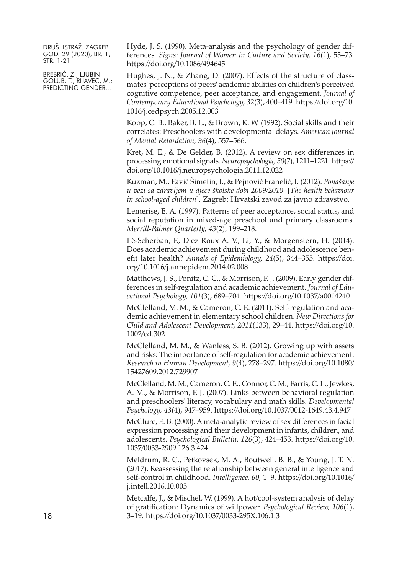BREBRIĆ, Z., LJUBIN GOLUB, T., RIJAVEC, M.: PREDICTING GENDER...

Hyde, J. S. (1990). Meta-analysis and the psychology of gender differences. *Signs: Journal of Women in Culture and Society, 16*(1), 55–73. <https://doi.org/10.1086/494645>

Hughes, J. N., & Zhang, D. (2007). Effects of the structure of classmates' perceptions of peers' academic abilities on children's perceived cognitive competence, peer acceptance, and engagement. *Journal of Contemporary Educational Psychology, 32*(3), 400–419. [https://doi.org/10.](https://doi.org/10.1016/j.cedpsych.2005.12.003) [1016/j.cedpsych.2005.12.003](https://doi.org/10.1016/j.cedpsych.2005.12.003)

Kopp, C. B., Baker, B. L., & Brown, K. W. (1992). Social skills and their correlates: Preschoolers with developmental delays. *American Journal of Mental Retardation, 96*(4), 557–566.

Kret, M. E., & De Gelder, B. (2012). A review on sex differences in processing emotional signals. *Neuropsychologia, 50*(7), 1211–1221. [https://](https://doi.org/10.1016/j.neuropsychologia.2011.12.022) [doi.org/10.1016/j.neuropsychologia.2011.12.022](https://doi.org/10.1016/j.neuropsychologia.2011.12.022)

Kuzman, M., Pavić Šimetin, I., & Pejnović Franelić, I. (2012). *Ponašanje u vezi sa zdravljem u djece školske dobi 2009/2010.* [*The health behaviour in school-aged children*]. Zagreb: Hrvatski zavod za javno zdravstvo.

Lemerise, E. A. (1997). Patterns of peer acceptance, social status, and social reputation in mixed-age preschool and primary classrooms. *Merrill-Palmer Quarterly, 43*(2), 199–218.

Lê-Scherban, F., Diez Roux A. V., Li, Y., & Morgenstern, H. (2014). Does academic achievement during childhood and adolescence benefit later health? *Annals of Epidemiology, 24*(5), 344–355. [https://doi.](https://doi.org/10.1016/j.annepidem.2014.02.008) [org/10.1016/j.annepidem.2014.02.008](https://doi.org/10.1016/j.annepidem.2014.02.008)

Matthews, J. S., Ponitz, C. C., & Morrison, F. J. (2009). Early gender differences in self-regulation and academic achievement. *Journal of Educational Psychology, 101*(3), 689–704. <https://doi.org/10.1037/a0014240>

McClelland, M. M., & Cameron, C. E. (2011). Self-regulation and academic achievement in elementary school children. *New Directions for Child and Adolescent Development, 2011*(133), 29–44. [https://doi.org/10.](https://doi.org/10.1002/cd.302) [1002/cd.302](https://doi.org/10.1002/cd.302)

McClelland, M. M., & Wanless, S. B. (2012). Growing up with assets and risks: The importance of self-regulation for academic achievement. *Research in Human Development, 9*(4), 278–297. [https://doi.org/10.1080/](https://doi.org/10.1080/15427609.2012.729907) [15427609.2012.729907](https://doi.org/10.1080/15427609.2012.729907)

McClelland, M. M., Cameron, C. E., Connor, C. M., Farris, C. L., Jewkes, A. M., & Morrison, F. J. (2007). Links between behavioral regulation and preschoolers' literacy, vocabulary and math skills. *Developmental Psychology, 43*(4), 947–959. <https://doi.org/10.1037/0012-1649.43.4.947>

McClure, E. B. (2000). A meta-analytic review of sex differences in facial expression processing and their development in infants, children, and adolescents. *Psychological Bulletin, 126*(3), 424–453. [https://doi.org/10.](https://doi.org/10.1037/0033-2909.126.3.424) [1037/0033-2909.126.3.424](https://doi.org/10.1037/0033-2909.126.3.424)

Meldrum, R. C., Petkovsek, M. A., Boutwell, B. B., & Young, J. T. N. (2017). Reassessing the relationship between general intelligence and self-control in childhood. *Intelligence, 60,* 1–9. [https://doi.org/10.1016/](https://doi.org/10.1016/j.intell.2016.10.005) [j.intell.2016.10.005](https://doi.org/10.1016/j.intell.2016.10.005)

Metcalfe, J., & Mischel, W. (1999). A hot/cool-system analysis of delay of gratification: Dynamics of willpower. *Psychological Review, 106*(1), 18 3–19. <https://doi.org/10.1037/0033-295X.106.1.3>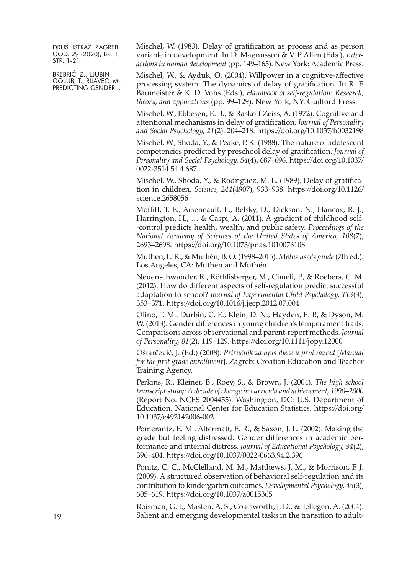BREBRIĆ, Z., LJUBIN GOLUB, T., RIJAVEC, M.: PREDICTING GENDER...

Mischel, W. (1983). Delay of gratification as process and as person variable in development. In D. Magnusson & V. P. Allen (Eds.), *Interactions in human development* (pp. 149–165). New York: Academic Press.

Mischel, W., & Ayduk, O. (2004). Willpower in a cognitive-affective processing system: The dynamics of delay of gratification. In R. F. Baumeister & K. D. Vohs (Eds.), *Handbook of self-regulation: Research, theory, and applications* (pp. 99–129). New York, NY: Guilford Press.

Mischel, W., Ebbesen, E. B., & Raskoff Zeiss, A. (1972). Cognitive and attentional mechanisms in delay of gratification. *Journal of Personality and Social Psychology, 21*(2), 204–218. <https://doi.org/10.1037/h0032198>

Mischel, W., Shoda, Y., & Peake, P. K. (1988). The nature of adolescent competencies predicted by preschool delay of gratification. *Journal of Personality and Social Psychology, 54*(4), 687–696. [https://doi.org/10.1037/](https://doi.org/10.1037/0022-3514.54.4.687) [0022-3514.54.4.687](https://doi.org/10.1037/0022-3514.54.4.687)

Mischel, W., Shoda, Y., & Rodriguez, M. L. (1989). Delay of gratification in children. *Science, 244*(4907), 933–938. [https://doi.org/10.1126/](https://doi.org/10.1126/science.2658056) [science.2658056](https://doi.org/10.1126/science.2658056)

Moffitt, T. E., Arseneault, L., Belsky, D., Dickson, N., Hancox, R. J., Harrington, H., … & Caspi, A. (2011). A gradient of childhood self- -control predicts health, wealth, and public safety. *Proceedings of the National Academy of Sciences of the United States of America, 108*(7), 2693–2698. <https://doi.org/10.1073/pnas.1010076108>

Muthén, L. K., & Muthén, B. O. (1998–2015). *Mplus user's guide*(7th ed.). Los Angeles, CA: Muthén and Muthén.

Neuenschwander, R., Röthlisberger, M., Cimeli, P., & Roebers, C. M. (2012). How do different aspects of self-regulation predict successful adaptation to school? *Journal of Experimental Child Psychology, 113*(3), 353–371. <https://doi.org/10.1016/j.jecp.2012.07.004>

Olino, T. M., Durbin, C. E., Klein, D. N., Hayden, E. P., & Dyson, M. W. (2013). Gender differences in young children's temperament traits: Comparisons across observational and parent-report methods. *Journal of Personality, 81*(2), 119–129. <https://doi.org/10.1111/jopy.12000>

Oštarčević, J. (Ed.) (2008). *Priručnik za upis djece u prvi razred* [*Manual for the first grade enrollment*]. Zagreb: Croatian Education and Teacher Training Agency.

Perkins, R., Kleiner, B., Roey, S., & Brown, J. (2004). *The high school transcript study: A decade of change in curricula and achievement, 1990–2000* (Report No. NCES 2004455). Washington, DC: U.S. Department of Education, National Center for Education Statistics. [https://doi.org/](https://doi.org/10.1037/e492142006-002) [10.1037/e492142006-002](https://doi.org/10.1037/e492142006-002)

Pomerantz, E. M., Altermatt, E. R., & Saxon, J. L. (2002). Making the grade but feeling distressed: Gender differences in academic performance and internal distress. *Journal of Educational Psychology, 94*(2), 396–404. <https://doi.org/10.1037/0022-0663.94.2.396>

Ponitz, C. C., McClelland, M. M., Matthews, J. M., & Morrison, F. J. (2009). A structured observation of behavioral self-regulation and its contribution to kindergarten outcomes. *Developmental Psychology, 45*(3), 605–619. <https://doi.org/10.1037/a0015365>

Roisman, G. I., Masten, A. S., Coatsworth, J. D., & Tellegen, A. (2004). 19 Salient and emerging developmental tasks in the transition to adult-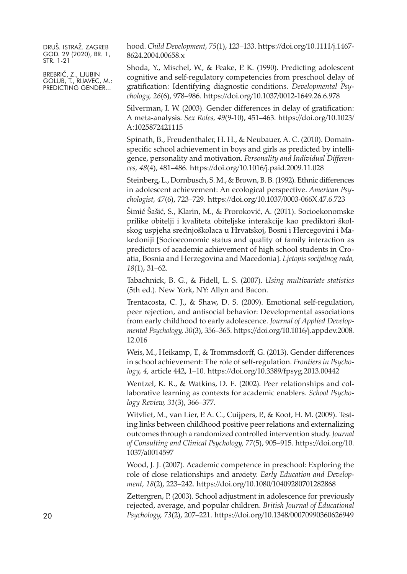BREBRIĆ, Z., LJUBIN GOLUB, T., RIJAVEC, M.: PREDICTING GENDER...

hood. *Child Development, 75*(1), 123–133. [https://doi.org/10.1111/j.1467-](https://doi.org/10.1111/j.1467-8624.2004.00658.x) [8624.2004.00658.x](https://doi.org/10.1111/j.1467-8624.2004.00658.x)

Shoda, Y., Mischel, W., & Peake, P. K. (1990). Predicting adolescent cognitive and self-regulatory competencies from preschool delay of gratification: Identifying diagnostic conditions. *Developmental Psychology, 26*(6), 978–986. <https://doi.org/10.1037/0012-1649.26.6.978>

Silverman, I. W. (2003). Gender differences in delay of gratification: A meta-analysis. *Sex Roles, 49*(9-10), 451–463. [https://doi.org/10.1023/](https://doi.org/10.1023/A:1025872421115) [A:1025872421115](https://doi.org/10.1023/A:1025872421115)

Spinath, B., Freudenthaler, H. H., & Neubauer, A. C. (2010). Domainspecific school achievement in boys and girls as predicted by intelligence, personality and motivation. *Personality and Individual Differences, 48*(4), 481–486. <https://doi.org/10.1016/j.paid.2009.11.028>

Steinberg, L., Dornbusch, S. M., & Brown, B. B. (1992). Ethnic differences in adolescent achievement: An ecological perspective. *American Psychologist, 47*(6), 723–729. <https://doi.org/10.1037/0003-066X.47.6.723>

Šimić Šašić, S., Klarin, M., & Proroković, A. (2011). Socioekonomske prilike obitelji i kvaliteta obiteljske interakcije kao prediktori školskog uspjeha srednjoškolaca u Hrvatskoj, Bosni i Hercegovini i Makedoniji [Socioeconomic status and quality of family interaction as predictors of academic achievement of high school students in Croatia, Bosnia and Herzegovina and Macedonia]. *Ljetopis socijalnog rada, 18*(1), 31–62.

Tabachnick, B. G., & Fidell, L. S. (2007). *Using multivariate statistics* (5th ed.). New York, NY: Allyn and Bacon.

Trentacosta, C. J., & Shaw, D. S. (2009). Emotional self-regulation, peer rejection, and antisocial behavior: Developmental associations from early childhood to early adolescence. *Journal of Applied Developmental Psychology, 30*(3), 356–365. [https://doi.org/10.1016/j.appdev.2008.](https://doi.org/10.1016/j.appdev.2008.12.016) [12.016](https://doi.org/10.1016/j.appdev.2008.12.016)

Weis, M., Heikamp, T., & Trommsdorff, G. (2013). Gender differences in school achievement: The role of self-regulation. *Frontiers in Psychology, 4,* article 442, 1–10. <https://doi.org/10.3389/fpsyg.2013.00442>

Wentzel, K. R., & Watkins, D. E. (2002). Peer relationships and collaborative learning as contexts for academic enablers. *School Psychology Review, 31*(3), 366–377.

Witvliet, M., van Lier, P. A. C., Cuijpers, P., & Koot, H. M. (2009). Testing links between childhood positive peer relations and externalizing outcomes through a randomized controlled intervention study. *Journal of Consulting and Clinical Psychology, 77*(5), 905–915. [https://doi.org/10.](https://doi.org/10.1037/a0014597) [1037/a0014597](https://doi.org/10.1037/a0014597)

Wood, J. J. (2007). Academic competence in preschool: Exploring the role of close relationships and anxiety. *Early Education and Development, 18*(2), 223–242. <https://doi.org/10.1080/10409280701282868>

Zettergren, P. (2003). School adjustment in adolescence for previously rejected, average, and popular children. *British Journal of Educational* 20 *Psychology, 73*(2), 207–221. <https://doi.org/10.1348/00070990360626949>